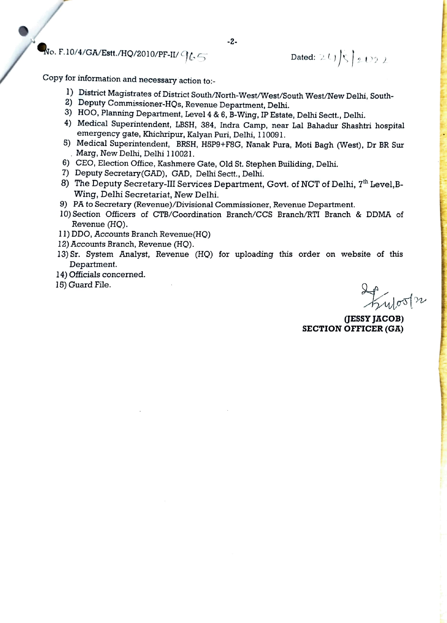$\mathbf{N}$ o. F.10/4/GA/Estt./HQ/2010/PF-II/  $\mathcal{G}(\mathcal{L})$  Dated: 24)  $\mathcal{L}$   $\mathcal{L}$  172 1

Copy for information and necessary action to:-

- 1) District Magistrates of District South/North-West/West/South West/New Delhi, South-
- 2) Deputy Commissioner-HQs, Revenue Department, Delhi.
- 3) HOO, Planning Department, Level 4 &6, B-Wing, IP Estate, Delhi Sectt., Delhi.
- 4) Medical Superintendent, LBSH, 384, Indra Camp, near Lal Bahadur Shashtri hospital emergency gate, Khichripur, Kalyan Puri, Delhi, 110091.
- 5) Medical Superintendent, BRSH, HSP9+F8G, Nanak Pura, Moti Bagh (West), Dr BR Sur Marg, New Delhi, Delhi 110021.
- 6) CEO, Election Office, Kashmere Gate, Old St. Stephen Builiding, Delhi.
- 7) Deputy Secretary(GAD), GAD, Delhi Sectt., Delhi.
- 8) The Deputy Secretary-III Services Department, Govt. of NCT of Delhi, 7<sup>th</sup> Level, B-Wing, Delhi Secretariat, New Delhi.
- 9) PA to Secretary (Revenue)/Divisional Commissioner, Revenue Department.
- 10) Section Officers of CTB/Coordination Branch/CCS Branch/RTI Branch & DDMA of Revenue (HO).
- 11) DDO, Accounts Branch Revenue(HO)
- 12) Accounts Branch, Revenue (HO).
- 13) Sr. System Analyst, Revenue (HO) for uploading this order on website of this Department.
- 14) Officials concerned.
- 15) Guard File.

ulos/n

JESSY JACOB) SECTION OFFICER (GA)